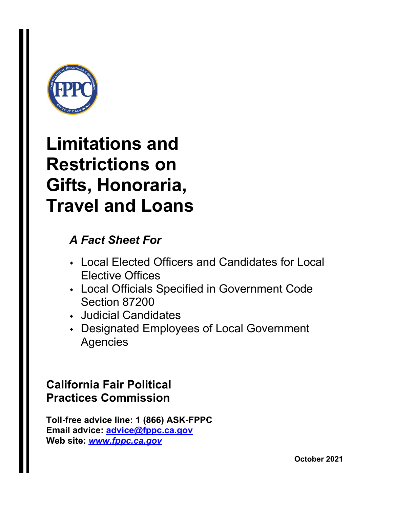

### **Limitations and Restrictions on Gifts, Honoraria, Travel and Loans**

### *A Fact Sheet For*

- Local Elected Officers and Candidates for Local Elective Offices
- Local Officials Specified in Government Code Section 87200
- Judicial Candidates
- Designated Employees of Local Government Agencies

### **California Fair Political Practices Commission**

**Toll-free advice line: 1 (866) ASK-FPPC Email advice: [advice@fppc.ca.gov](mailto:advice@fppc.ca.gov) Web site:** *[www.fppc.ca.gov](http://www.fppc.ca.gov/)*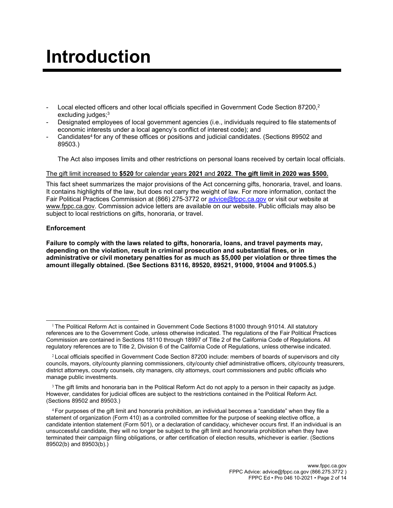## **Introduction**

- Local elected officers and other local officials specified in Government Code Section 87200,<sup>2</sup> excluding judges;<sup>3</sup>
- Designated employees of local government agencies (i.e., individuals required to file statements of economic interests under a local agency's conflict of interest code); and
- Candidates<sup>4</sup> for any of these offices or positions and judicial candidates. (Sections 89502 and 89503.)

The Act also imposes limits and other restrictions on personal loans received by certain local officials.

#### The gift limit increased to **\$520** for calendar years **2021** and **2022**. **The gift limit in 2020 was \$500.**

This fact sheet summarizes the major provisions of the Act concerning gifts, honoraria, travel, and loans. It contains highlights of the law, but does not carry the weight of law. For more information, contact the Fair Political Practices Commission at (866) 275-3772 or [advice@fppc.ca.gov](mailto:advice@fppc.ca.gov) or visit our website at [www.fppc.ca.gov.](http://www.fppc.ca.gov/) Commission advice letters are available on our website. Public officials may also be subject to local restrictions on gifts, honoraria, or travel.

#### **Enforcement**

**Failure to comply with the laws related to gifts, honoraria, loans, and travel payments may, depending on the violation, result in criminal prosecution and substantial fines, or in administrative or civil monetary penalties for as much as \$5,000 per violation or three times the amount illegally obtained. (See Sections 83116, 89520, 89521, 91000, 91004 and 91005.5.)**

<sup>&</sup>lt;sup>1</sup> The Political Reform Act is contained in Government Code Sections 81000 through 91014. All statutory references are to the Government Code, unless otherwise indicated. The regulations of the Fair Political Practices Commission are contained in Sections 18110 through 18997 of Title 2 of the California Code of Regulations. All regulatory references are to Title 2, Division 6 of the California Code of Regulations, unless otherwise indicated.

<sup>&</sup>lt;sup>2</sup> Local officials specified in Government Code Section 87200 include: members of boards of supervisors and city councils, mayors, city/county planning commissioners, city/county chief administrative officers, city/county treasurers, district attorneys, county counsels, city managers, city attorneys, court commissioners and public officials who manage public investments.

 $3$  The gift limits and honoraria ban in the Political Reform Act do not apply to a person in their capacity as judge. However, candidates for judicial offices are subject to the restrictions contained in the Political Reform Act. (Sections 89502 and 89503.)

<sup>4</sup>For purposes of the gift limit and honoraria prohibition, an individual becomes a "candidate" when they file a statement of organization (Form 410) as a controlled committee for the purpose of seeking elective office, a candidate intention statement (Form 501), or a declaration of candidacy, whichever occurs first. If an individual is an unsuccessful candidate, they will no longer be subject to the gift limit and honoraria prohibition when they have terminated their campaign filing obligations, or after certification of election results, whichever is earlier. (Sections 89502(b) and 89503(b).)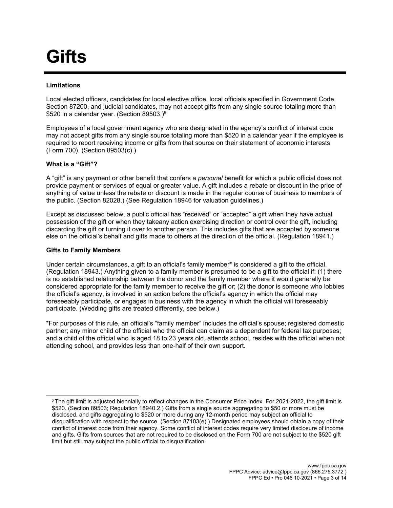## **Gifts**

#### **Limitations**

Local elected officers, candidates for local elective office, local officials specified in Government Code Section 87200, and judicial candidates, may not accept gifts from any single source totaling more than \$520 in a calendar year. (Section 89503.)<sup>5</sup>

Employees of a local government agency who are designated in the agency's conflict of interest code may not accept gifts from any single source totaling more than \$520 in a calendar year if the employee is required to report receiving income or gifts from that source on their statement of economic interests (Form 700). (Section 89503(c).)

#### **What is a "Gift"?**

A "gift" is any payment or other benefit that confers a *personal* benefit for which a public official does not provide payment or services of equal or greater value. A gift includes a rebate or discount in the price of anything of value unless the rebate or discount is made in the regular course of business to members of the public. (Section 82028.) (See Regulation 18946 for valuation guidelines.)

Except as discussed below, a public official has "received" or "accepted" a gift when they have actual possession of the gift or when they takeany action exercising direction or control over the gift, including discarding the gift or turning it over to another person. This includes gifts that are accepted by someone else on the official's behalf and gifts made to others at the direction of the official. (Regulation 18941.)

#### **Gifts to Family Members**

Under certain circumstances, a gift to an official's family member**\*** is considered a gift to the official. (Regulation 18943.) Anything given to a family member is presumed to be a gift to the official if: (1) there is no established relationship between the donor and the family member where it would generally be considered appropriate for the family member to receive the gift or; (2) the donor is someone who lobbies the official's agency, is involved in an action before the official's agency in which the official may foreseeably participate, or engages in business with the agency in which the official will foreseeably participate. (Wedding gifts are treated differently, see below.)

\*For purposes of this rule, an official's "family member" includes the official's spouse; registered domestic partner; any minor child of the official who the official can claim as a dependent for federal tax purposes; and a child of the official who is aged 18 to 23 years old, attends school, resides with the official when not attending school, and provides less than one-half of their own support.

 $5$ The gift limit is adjusted biennially to reflect changes in the Consumer Price Index. For 2021-2022, the gift limit is \$520. (Section 89503; Regulation 18940.2.) Gifts from a single source aggregating to \$50 or more must be disclosed, and gifts aggregating to \$520 or more during any 12-month period may subject an official to disqualification with respect to the source. (Section 87103(e).) Designated employees should obtain a copy of their conflict of interest code from their agency. Some conflict of interest codes require very limited disclosure of income and gifts. Gifts from sources that are not required to be disclosed on the Form 700 are not subject to the \$520 gift limit but still may subject the public official to disqualification.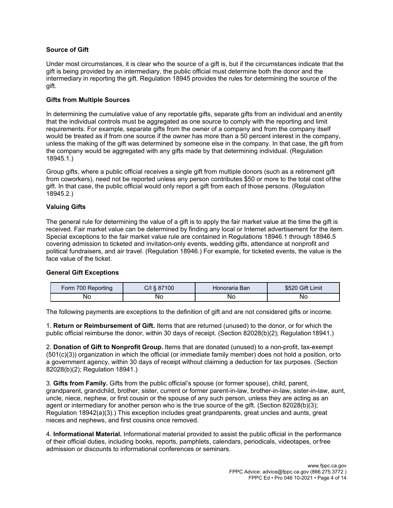#### **Source of Gift**

Under most circumstances, it is clear who the source of a gift is, but if the circumstances indicate that the gift is being provided by an intermediary, the public official must determine both the donor and the intermediary in reporting the gift. Regulation 18945 provides the rules for determining the source of the gift.

#### **Gifts from Multiple Sources**

In determining the cumulative value of any reportable gifts, separate gifts from an individual and anentity that the individual controls must be aggregated as one source to comply with the reporting and limit requirements. For example, separate gifts from the owner of a company and from the company itself would be treated as if from one source if the owner has more than a 50 percent interest in the company, unless the making of the gift was determined by someone else in the company. In that case, the gift from the company would be aggregated with any gifts made by that determining individual. (Regulation 18945.1.)

Group gifts, where a public official receives a single gift from multiple donors (such as a retirement gift from coworkers), need not be reported unless any person contributes \$50 or more to the total cost ofthe gift. In that case, the public official would only report a gift from each of those persons. (Regulation 18945.2.)

#### **Valuing Gifts**

The general rule for determining the value of a gift is to apply the fair market value at the time the gift is received. Fair market value can be determined by finding any local or Internet advertisement for the item. Special exceptions to the fair market value rule are contained in Regulations 18946.1 through 18946.5 covering admission to ticketed and invitation-only events, wedding gifts, attendance at nonprofit and political fundraisers, and air travel. (Regulation 18946.) For example, for ticketed events, the value is the face value of the ticket.

#### **General Gift Exceptions**

| Form 700 Reporting | C/I § 87100 | Honoraria Ban | \$520 Gift Limit |
|--------------------|-------------|---------------|------------------|
| No                 | Nο          | <b>NO</b>     | Nο               |

The following payments are exceptions to the definition of gift and are not considered gifts or income.

1. **Return or Reimbursement of Gift.** Items that are returned (unused) to the donor, or for which the public official reimburse the donor, within 30 days of receipt. (Section 82028(b)(2); Regulation18941.)

2. **Donation of Gift to Nonprofit Group.** Items that are donated (unused) to a non-profit, tax-exempt (501(c)(3)) organization in which the official (or immediate family member) does not hold a position, orto a government agency, within 30 days of receipt without claiming a deduction for tax purposes. (Section 82028(b)(2); Regulation 18941.)

3. **Gifts from Family.** Gifts from the public official's spouse (or former spouse), child, parent, grandparent, grandchild, brother, sister, current or former parent-in-law, brother-in-law, sister-in-law, aunt, uncle, niece, nephew, or first cousin or the spouse of any such person, unless they are acting as an agent or intermediary for another person who is the true source of the gift. (Section 82028(b)(3); Regulation 18942(a)(3).) This exception includes great grandparents, great uncles and aunts, great nieces and nephews, and first cousins once removed.

4. **Informational Material.** Informational material provided to assist the public official in the performance of their official duties, including books, reports, pamphlets, calendars, periodicals, videotapes, orfree admission or discounts to informational conferences or seminars.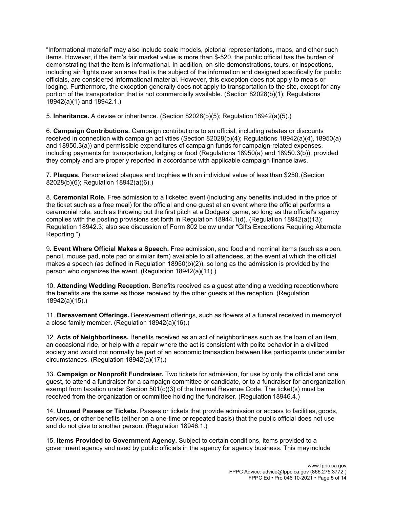"Informational material" may also include scale models, pictorial representations, maps, and other such items. However, if the item's fair market value is more than \$-520, the public official has the burden of demonstrating that the item is informational. In addition, on-site demonstrations, tours, or inspections, including air flights over an area that is the subject of the information and designed specifically for public officials, are considered informational material. However, this exception does not apply to meals or lodging. Furthermore, the exception generally does not apply to transportation to the site, except for any portion of the transportation that is not commercially available. (Section 82028(b)(1); Regulations 18942(a)(1) and 18942.1.)

5. **Inheritance.** A devise or inheritance. (Section 82028(b)(5); Regulation 18942(a)(5).)

6. **Campaign Contributions.** Campaign contributions to an official, including rebates or discounts received in connection with campaign activities (Section 82028(b)(4); Regulations 18942(a)(4), 18950(a) and 18950.3(a)) and permissible expenditures of campaign funds for campaign-related expenses, including payments for transportation, lodging or food (Regulations 18950(a) and 18950.3(b)), provided they comply and are properly reported in accordance with applicable campaign finance laws.

7. **Plaques.** Personalized plaques and trophies with an individual value of less than \$250.(Section 82028(b)(6); Regulation 18942(a)(6).)

8. **Ceremonial Role.** Free admission to a ticketed event (including any benefits included in the price of the ticket such as a free meal) for the official and one guest at an event where the official performs a ceremonial role, such as throwing out the first pitch at a Dodgers' game, so long as the official's agency complies with the posting provisions set forth in Regulation 18944.1(d). (Regulation 18942(a)(13); Regulation 18942.3; also see discussion of Form 802 below under "Gifts Exceptions Requiring Alternate Reporting.")

9. **Event Where Official Makes a Speech.** Free admission, and food and nominal items (such as a pen, pencil, mouse pad, note pad or similar item) available to all attendees, at the event at which the official makes a speech (as defined in Regulation 18950(b)(2)), so long as the admission is provided by the person who organizes the event. (Regulation 18942(a)(11).)

10. **Attending Wedding Reception.** Benefits received as a guest attending a wedding receptionwhere the benefits are the same as those received by the other guests at the reception. (Regulation 18942(a)(15).)

11. **Bereavement Offerings.** Bereavement offerings, such as flowers at a funeral received in memory of a close family member. (Regulation 18942(a)(16).)

12. **Acts of Neighborliness.** Benefits received as an act of neighborliness such as the loan of an item, an occasional ride, or help with a repair where the act is consistent with polite behavior in a civilized society and would not normally be part of an economic transaction between like participants under similar circumstances. (Regulation 18942(a)(17).)

13. **Campaign or Nonprofit Fundraiser.** Two tickets for admission, for use by only the official and one guest, to attend a fundraiser for a campaign committee or candidate, or to a fundraiser for anorganization exempt from taxation under Section  $501(c)(3)$  of the Internal Revenue Code. The ticket(s) must be received from the organization or committee holding the fundraiser. (Regulation 18946.4.)

14. **Unused Passes or Tickets.** Passes or tickets that provide admission or access to facilities, goods, services, or other benefits (either on a one-time or repeated basis) that the public official does not use and do not give to another person. (Regulation 18946.1.)

15. **Items Provided to Government Agency.** Subject to certain conditions, items provided to a government agency and used by public officials in the agency for agency business. This mayinclude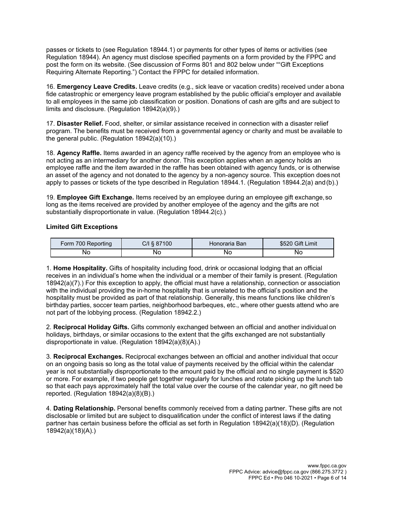passes or tickets to (see Regulation 18944.1) or payments for other types of items or activities (see Regulation 18944). An agency must disclose specified payments on a form provided by the FPPC and post the form on its website. (See discussion of Forms 801 and 802 below under ""Gift Exceptions Requiring Alternate Reporting.") Contact the FPPC for detailed information.

16. **Emergency Leave Credits.** Leave credits (e.g., sick leave or vacation credits) received under abona fide catastrophic or emergency leave program established by the public official's employer and available to all employees in the same job classification or position. Donations of cash are gifts and are subject to limits and disclosure. (Regulation 18942(a)(9).)

17. **Disaster Relief.** Food, shelter, or similar assistance received in connection with a disaster relief program. The benefits must be received from a governmental agency or charity and must be available to the general public. (Regulation 18942(a)(10).)

18. **Agency Raffle.** Items awarded in an agency raffle received by the agency from an employee who is not acting as an intermediary for another donor. This exception applies when an agency holds an employee raffle and the item awarded in the raffle has been obtained with agency funds, or is otherwise an asset of the agency and not donated to the agency by a non-agency source. This exception does not apply to passes or tickets of the type described in Regulation 18944.1. (Regulation 18944.2(a) and (b).)

19. **Employee Gift Exchange.** Items received by an employee during an employee gift exchange,so long as the items received are provided by another employee of the agency and the gifts are not substantially disproportionate in value. (Regulation 18944.2(c).)

#### **Limited Gift Exceptions**

| Form 700 Reporting | C/I § 87100 | Honoraria Ban | \$520 Gift Limit |
|--------------------|-------------|---------------|------------------|
| No                 | Nο          | No            | Nο               |

1. **Home Hospitality.** Gifts of hospitality including food, drink or occasional lodging that an official receives in an individual's home when the individual or a member of their family is present. (Regulation 18942(a)(7).) For this exception to apply, the official must have a relationship, connection or association with the individual providing the in-home hospitality that is unrelated to the official's position and the hospitality must be provided as part of that relationship. Generally, this means functions like children's birthday parties, soccer team parties, neighborhood barbeques, etc., where other guests attend who are not part of the lobbying process. (Regulation 18942.2.)

2. **Reciprocal Holiday Gifts.** Gifts commonly exchanged between an official and another individual on holidays, birthdays, or similar occasions to the extent that the gifts exchanged are not substantially disproportionate in value. (Regulation 18942(a)(8)(A).)

3. **Reciprocal Exchanges.** Reciprocal exchanges between an official and another individual that occur on an ongoing basis so long as the total value of payments received by the official within the calendar year is not substantially disproportionate to the amount paid by the official and no single payment is \$520 or more. For example, if two people get together regularly for lunches and rotate picking up the lunch tab so that each pays approximately half the total value over the course of the calendar year, no gift need be reported. (Regulation 18942(a)(8)(B).)

4. **Dating Relationship.** Personal benefits commonly received from a dating partner. These gifts are not disclosable or limited but are subject to disqualification under the conflict of interest laws if the dating partner has certain business before the official as set forth in Regulation 18942(a)(18)(D). (Regulation 18942(a)(18)(A).)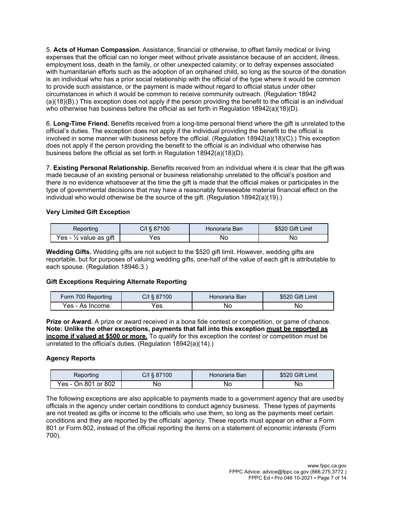5. **Acts of Human Compassion.** Assistance, financial or otherwise, to offset family medical or living expenses that the official can no longer meet without private assistance because of an accident, illness, employment loss, death in the family, or other unexpected calamity; or to defray expenses associated with humanitarian efforts such as the adoption of an orphaned child, so long as the source of the donation is an individual who has a prior social relationship with the official of the type where it would be common to provide such assistance, or the payment is made without regard to official status under other circumstances in which it would be common to receive community outreach. (Regulation 18942 (a)(18)(B).) This exception does not apply if the person providing the benefit to the official is an individual who otherwise has business before the official as set forth in Regulation 18942(a)(18)(D).

6. **Long-Time Friend.** Benefits received from a long-time personal friend where the gift is unrelated tothe official's duties. The exception does not apply if the individual providing the benefit to the official is involved in some manner with business before the official. (Regulation 18942(a)(18)(C).) This exception does not apply if the person providing the benefit to the official is an individual who otherwise has business before the official as set forth in Regulation 18942(a)(18)(D).

7. **Existing Personal Relationship.** Benefits received from an individual where it is clear that the gift was made because of an existing personal or business relationship unrelated to the official's position and there is no evidence whatsoever at the time the gift is made that the official makes or participates in the type of governmental decisions that may have a reasonably foreseeable material financial effect on the individual who would otherwise be the source of the gift. (Regulation 18942(a)(19).)

#### **Very Limited Gift Exception**

| Reporting                         | C/I § 87100 | Honoraria Ban | \$520 Gift Limit |
|-----------------------------------|-------------|---------------|------------------|
| Yes - $\frac{1}{2}$ value as gift | 'es         | No            | No               |

**Wedding Gifts.** Wedding gifts are not subject to the \$520 gift limit. However, wedding gifts are reportable, but for purposes of valuing wedding gifts, one-half of the value of each gift is attributable to each spouse. (Regulation 18946.3.)

#### **Gift Exceptions Requiring Alternate Reporting**

| Form 700 Reporting | $C/I \$ 87100 | ∖Honoraria Ban | \$520 Gift Limit |
|--------------------|---------------|----------------|------------------|
| Yes - As Income    | 'es           | ΝO             | No               |

**Prize or Award.** A prize or award received in a bona fide contest or competition, or game of chance. **Note: Unlike the other exceptions, payments that fall into this exception must be reported as income if valued at \$500 or more.** To qualify for this exception the contest or competition must be unrelated to the official's duties. (Regulation 18942(a)(14).)

#### **Agency Reports**

| Reporting           | C/I § 87100 | Honoraria Ban | \$520 Gift Limit |
|---------------------|-------------|---------------|------------------|
| Yes - On 801 or 802 | Nο          | Νc            | No               |

The following exceptions are also applicable to payments made to a government agency that are usedby officials in the agency under certain conditions to conduct agency business. These types of payments are not treated as gifts or income to the officials who use them, so long as the payments meet certain conditions and they are reported by the officials' agency. These reports must appear on either a Form 801 or Form 802, instead of the official reporting the items on a statement of economic interests (Form 700).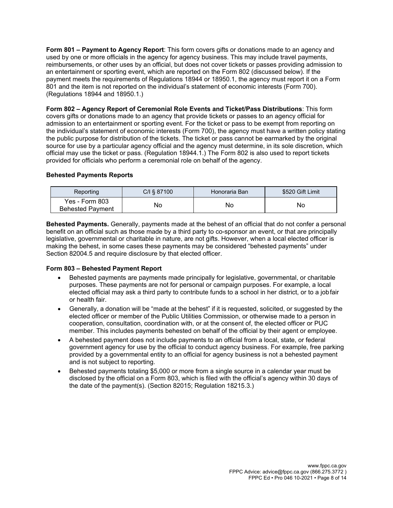**Form 801 – Payment to Agency Report**: This form covers gifts or donations made to an agency and used by one or more officials in the agency for agency business. This may include travel payments, reimbursements, or other uses by an official, but does not cover tickets or passes providing admission to an entertainment or sporting event, which are reported on the Form 802 (discussed below). If the payment meets the requirements of Regulations 18944 or 18950.1, the agency must report it on a Form 801 and the item is not reported on the individual's statement of economic interests (Form 700). (Regulations 18944 and 18950.1.)

**Form 802 – Agency Report of Ceremonial Role Events and Ticket/Pass Distributions**: This form covers gifts or donations made to an agency that provide tickets or passes to an agency official for admission to an entertainment or sporting event. For the ticket or pass to be exempt from reporting on the individual's statement of economic interests (Form 700), the agency must have a written policy stating the public purpose for distribution of the tickets. The ticket or pass cannot be earmarked by the original source for use by a particular agency official and the agency must determine, in its sole discretion, which official may use the ticket or pass. (Regulation 18944.1.) The Form 802 is also used to report tickets provided for officials who perform a ceremonial role on behalf of the agency.

#### **Behested Payments Reports**

| Reporting                                 | C/I § 87100 | Honoraria Ban | \$520 Gift Limit |
|-------------------------------------------|-------------|---------------|------------------|
| Yes - Form 803<br><b>Behested Payment</b> | No          | No            | No               |

**Behested Payments.** Generally, payments made at the behest of an official that do not confer a personal benefit on an official such as those made by a third party to co-sponsor an event, or that are principally legislative, governmental or charitable in nature, are not gifts. However, when a local elected officer is making the behest, in some cases these payments may be considered "behested payments" under Section 82004.5 and require disclosure by that elected officer.

#### **Form 803 – Behested Payment Report**

- Behested payments are payments made principally for legislative, governmental, or charitable purposes. These payments are not for personal or campaign purposes. For example, a local elected official may ask a third party to contribute funds to a school in her district, or to a jobfair or health fair.
- Generally, a donation will be "made at the behest" if it is requested, solicited, or suggested by the elected officer or member of the Public Utilities Commission, or otherwise made to a person in cooperation, consultation, coordination with, or at the consent of, the elected officer or PUC member. This includes payments behested on behalf of the official by their agent or employee.
- A behested payment does not include payments to an official from a local, state, or federal government agency for use by the official to conduct agency business. For example, free parking provided by a governmental entity to an official for agency business is not a behested payment and is not subject to reporting.
- Behested payments totaling \$5,000 or more from a single source in a calendar year must be disclosed by the official on a Form 803, which is filed with the official's agency within 30 days of the date of the payment(s). (Section 82015; Regulation 18215.3.)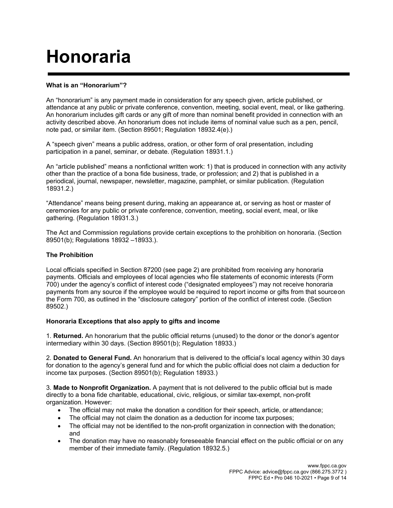# **Honoraria**

#### **What is an "Honorarium"?**

An "honorarium" is any payment made in consideration for any speech given, article published, or attendance at any public or private conference, convention, meeting, social event, meal, or like gathering. An honorarium includes gift cards or any gift of more than nominal benefit provided in connection with an activity described above. An honorarium does not include items of nominal value such as a pen, pencil, note pad, or similar item. (Section 89501; Regulation 18932.4(e).)

A "speech given" means a public address, oration, or other form of oral presentation, including participation in a panel, seminar, or debate. (Regulation 18931.1.)

An "article published" means a nonfictional written work: 1) that is produced in connection with any activity other than the practice of a bona fide business, trade, or profession; and 2) that is published in a periodical, journal, newspaper, newsletter, magazine, pamphlet, or similar publication. (Regulation 18931.2.)

"Attendance" means being present during, making an appearance at, or serving as host or master of ceremonies for any public or private conference, convention, meeting, social event, meal, or like gathering. (Regulation 18931.3.)

The Act and Commission regulations provide certain exceptions to the prohibition on honoraria. (Section 89501(b); Regulations 18932 –18933.).

#### **The Prohibition**

Local officials specified in Section 87200 (see page 2) are prohibited from receiving any honoraria payments. Officials and employees of local agencies who file statements of economic interests (Form 700) under the agency's conflict of interest code ("designated employees") may not receive honoraria payments from any source if the employee would be required to report income or gifts from that sourceon the Form 700, as outlined in the "disclosure category" portion of the conflict of interest code. (Section 89502.)

#### **Honoraria Exceptions that also apply to gifts and income**

1. **Returned.** An honorarium that the public official returns (unused) to the donor or the donor's agentor intermediary within 30 days. (Section 89501(b); Regulation 18933.)

2. **Donated to General Fund.** An honorarium that is delivered to the official's local agency within 30 days for donation to the agency's general fund and for which the public official does not claim a deduction for income tax purposes. (Section 89501(b); Regulation 18933.)

3. **Made to Nonprofit Organization.** A payment that is not delivered to the public official but is made directly to a bona fide charitable, educational, civic, religious, or similar tax-exempt, non-profit organization. However:

- The official may not make the donation a condition for their speech, article, or attendance;
- The official may not claim the donation as a deduction for income tax purposes;
- The official may not be identified to the non-profit organization in connection with the donation; and
- The donation may have no reasonably foreseeable financial effect on the public official or on any member of their immediate family. (Regulation 18932.5.)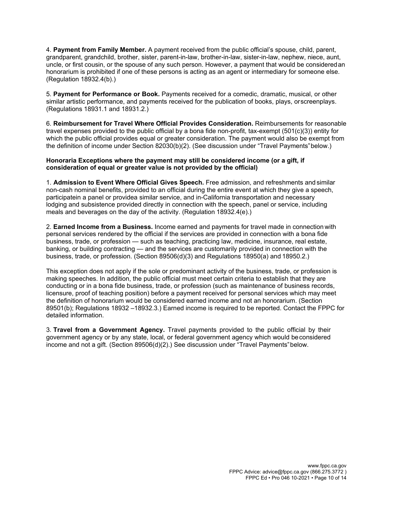4. **Payment from Family Member.** A payment received from the public official's spouse, child, parent, grandparent, grandchild, brother, sister, parent-in-law, brother-in-law, sister-in-law, nephew, niece, aunt, uncle, or first cousin, or the spouse of any such person. However, a payment that would be consideredan honorarium is prohibited if one of these persons is acting as an agent or intermediary for someone else. (Regulation 18932.4(b).)

5. **Payment for Performance or Book.** Payments received for a comedic, dramatic, musical, or other similar artistic performance, and payments received for the publication of books, plays, orscreenplays. (Regulations 18931.1 and 18931.2.)

6. **Reimbursement for Travel Where Official Provides Consideration.** Reimbursements for reasonable travel expenses provided to the public official by a bona fide non-profit, tax-exempt (501(c)(3)) entity for which the public official provides equal or greater consideration. The payment would also be exempt from the definition of income under Section 82030(b)(2). (See discussion under "Travel Payments"below.)

#### **Honoraria Exceptions where the payment may still be considered income (or a gift, if consideration of equal or greater value is not provided by the official)**

1. **Admission to Event Where Official Gives Speech.** Free admission, and refreshments and similar non-cash nominal benefits, provided to an official during the entire event at which they give a speech, participatein a panel or providea similar service, and in-California transportation and necessary lodging and subsistence provided directly in connection with the speech, panel or service, including meals and beverages on the day of the activity. (Regulation 18932.4(e).)

2. **Earned Income from a Business.** Income earned and payments for travel made in connection with personal services rendered by the official if the services are provided in connection with a bona fide business, trade, or profession — such as teaching, practicing law, medicine, insurance, real estate, banking, or building contracting — and the services are customarily provided in connection with the business, trade, or profession. (Section 89506(d)(3) and Regulations 18950(a) and 18950.2.)

This exception does not apply if the sole or predominant activity of the business, trade, or profession is making speeches. In addition, the public official must meet certain criteria to establish that they are conducting or in a bona fide business, trade, or profession (such as maintenance of business records, licensure, proof of teaching position) before a payment received for personal services which may meet the definition of honorarium would be considered earned income and not an honorarium. (Section 89501(b); Regulations 18932 –18932.3.) Earned income is required to be reported. Contact the FPPC for detailed information.

3. **Travel from a Government Agency.** Travel payments provided to the public official by their government agency or by any state, local, or federal government agency which would beconsidered income and not a gift. (Section 89506(d)(2).) See discussion under "Travel Payments"below.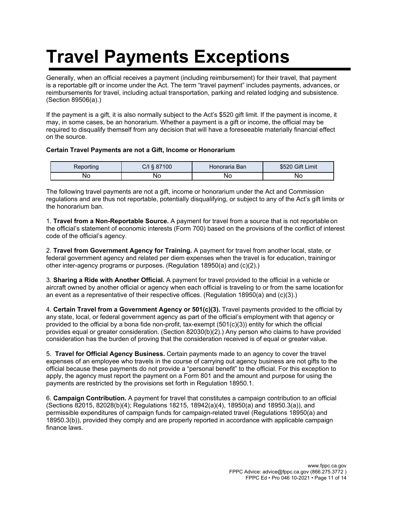# **Travel Payments Exceptions**

Generally, when an official receives a payment (including reimbursement) for their travel, that payment is a reportable gift or income under the Act. The term "travel payment" includes payments, advances, or reimbursements for travel, including actual transportation, parking and related lodging and subsistence. (Section 89506(a).)

If the payment is a gift, it is also normally subject to the Act's \$520 gift limit. If the payment is income, it may, in some cases, be an honorarium. Whether a payment is a gift or income, the official may be required to disqualify themself from any decision that will have a foreseeable materially financial effect on the source.

#### **Certain Travel Payments are not a Gift, Income or Honorarium**

| keporting | ン/I § 87100 | Honoraria Ban | \$520 Gift Limit |
|-----------|-------------|---------------|------------------|
| No        | NC          | NС            | Νc               |

The following travel payments are not a gift, income or honorarium under the Act and Commission regulations and are thus not reportable, potentially disqualifying, or subject to any of the Act's gift limits or the honorarium ban.

1. **Travel from a Non-Reportable Source.** A payment for travel from a source that is not reportable on the official's statement of economic interests (Form 700) based on the provisions of the conflict of interest code of the official's agency.

2. **Travel from Government Agency for Training.** A payment for travel from another local, state, or federal government agency and related per diem expenses when the travel is for education, trainingor other inter-agency programs or purposes. (Regulation 18950(a) and (c)(2).)

3. **Sharing a Ride with Another Official.** A payment for travel provided to the official in a vehicle or aircraft owned by another official or agency when each official is traveling to or from the same locationfor an event as a representative of their respective offices. (Regulation 18950(a) and (c)(3).)

4. **Certain Travel from a Government Agency or 501(c)(3).** Travel payments provided to the official by any state, local, or federal government agency as part of the official's employment with that agency or provided to the official by a bona fide non-profit, tax-exempt (501(c)(3)) entity for which the official provides equal or greater consideration. (Section 82030(b)(2).) Any person who claims to have provided consideration has the burden of proving that the consideration received is of equal or greater value.

5. **Travel for Official Agency Business.** Certain payments made to an agency to cover the travel expenses of an employee who travels in the course of carrying out agency business are not gifts to the official because these payments do not provide a "personal benefit" to the official. For this exception to apply, the agency must report the payment on a Form 801 and the amount and purpose for using the payments are restricted by the provisions set forth in Regulation 18950.1.

6. **Campaign Contribution.** A payment for travel that constitutes a campaign contribution to an official (Sections 82015, 82028(b)(4); Regulations 18215, 18942(a)(4), 18950(a) and 18950.3(a)), and permissible expenditures of campaign funds for campaign-related travel (Regulations 18950(a) and 18950.3(b)), provided they comply and are properly reported in accordance with applicable campaign finance laws.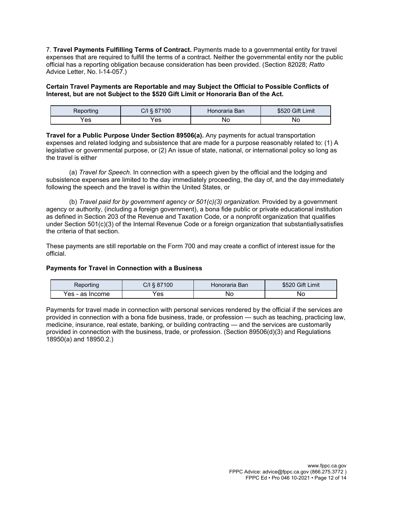7. **Travel Payments Fulfilling Terms of Contract.** Payments made to a governmental entity for travel expenses that are required to fulfill the terms of a contract. Neither the governmental entity nor the public official has a reporting obligation because consideration has been provided. (Section 82028; *Ratto*  Advice Letter, No. I-14-057.)

#### **Certain Travel Payments are Reportable and may Subject the Official to Possible Conflicts of Interest, but are not Subject to the \$520 Gift Limit or Honoraria Ban of the Act.**

| ≺eportınq | C/I<br>.887'<br>100 | Honoraria Ban | <b>Gift Limit</b><br>ນລ∠ບ |
|-----------|---------------------|---------------|---------------------------|
| 'es       | Yes                 | No            | No                        |

**Travel for a Public Purpose Under Section 89506(a).** Any payments for actual transportation expenses and related lodging and subsistence that are made for a purpose reasonably related to: (1) A legislative or governmental purpose, or (2) An issue of state, national, or international policy so long as the travel is either

(a) *Travel for Speech.* In connection with a speech given by the official and the lodging and subsistence expenses are limited to the day immediately proceeding, the day of, and the day immediately following the speech and the travel is within the United States, or

(b) *Travel paid for by government agency or 501(c)(3) organization.* Provided by a government agency or authority, (including a foreign government), a bona fide public or private educational institution as defined in Section 203 of the Revenue and Taxation Code, or a nonprofit organization that qualifies under Section 501(c)(3) of the Internal Revenue Code or a foreign organization that substantiallysatisfies the criteria of that section.

These payments are still reportable on the Form 700 and may create a conflict of interest issue for the official.

#### **Payments for Travel in Connection with a Business**

| Reporting       | C/I § 87100 | Honoraria Ban | \$520 Gift Limit |
|-----------------|-------------|---------------|------------------|
| Yes - as Income | Yes         | No            | No               |

Payments for travel made in connection with personal services rendered by the official if the services are provided in connection with a bona fide business, trade, or profession — such as teaching, practicing law, medicine, insurance, real estate, banking, or building contracting — and the services are customarily provided in connection with the business, trade, or profession. (Section 89506(d)(3) and Regulations 18950(a) and 18950.2.)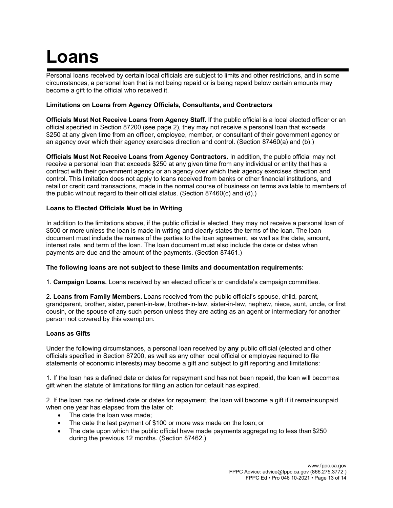### **Loans**

Personal loans received by certain local officials are subject to limits and other restrictions, and in some circumstances, a personal loan that is not being repaid or is being repaid below certain amounts may become a gift to the official who received it.

#### **Limitations on Loans from Agency Officials, Consultants, and Contractors**

**Officials Must Not Receive Loans from Agency Staff.** If the public official is a local elected officer or an official specified in Section 87200 (see page 2), they may not receive a personal loan that exceeds \$250 at any given time from an officer, employee, member, or consultant of their government agency or an agency over which their agency exercises direction and control. (Section 87460(a) and (b).)

**Officials Must Not Receive Loans from Agency Contractors.** In addition, the public official may not receive a personal loan that exceeds \$250 at any given time from any individual or entity that has a contract with their government agency or an agency over which their agency exercises direction and control. This limitation does not apply to loans received from banks or other financial institutions, and retail or credit card transactions, made in the normal course of business on terms available to members of the public without regard to their official status. (Section 87460(c) and (d).)

#### **Loans to Elected Officials Must be in Writing**

In addition to the limitations above, if the public official is elected, they may not receive a personal loan of \$500 or more unless the loan is made in writing and clearly states the terms of the loan. The loan document must include the names of the parties to the loan agreement, as well as the date, amount, interest rate, and term of the loan. The loan document must also include the date or dates when payments are due and the amount of the payments. (Section 87461.)

#### **The following loans are not subject to these limits and documentation requirements**:

1. **Campaign Loans.** Loans received by an elected officer's or candidate's campaign committee.

2. **Loans from Family Members.** Loans received from the public official's spouse, child, parent, grandparent, brother, sister, parent-in-law, brother-in-law, sister-in-law, nephew, niece, aunt, uncle, or first cousin, or the spouse of any such person unless they are acting as an agent or intermediary for another person not covered by this exemption.

#### **Loans as Gifts**

Under the following circumstances, a personal loan received by **any** public official (elected and other officials specified in Section 87200, as well as any other local official or employee required to file statements of economic interests) may become a gift and subject to gift reporting and limitations:

1. If the loan has a defined date or dates for repayment and has not been repaid, the loan will becomea gift when the statute of limitations for filing an action for default has expired.

2. If the loan has no defined date or dates for repayment, the loan will become a gift if it remainsunpaid when one year has elapsed from the later of:

- The date the loan was made;
- The date the last payment of \$100 or more was made on the loan; or
- The date upon which the public official have made payments aggregating to less than \$250 during the previous 12 months. (Section 87462.)